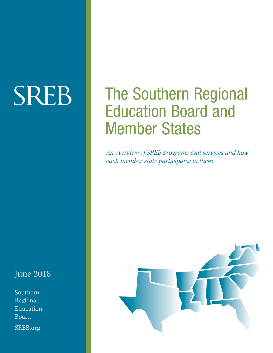# **SREB**

# June 2018

Southern Regional Education Board

SREB.org

# The Southern Regional Education Board and Member States

*An overview of SREB programs and services and how each member state participates in them*

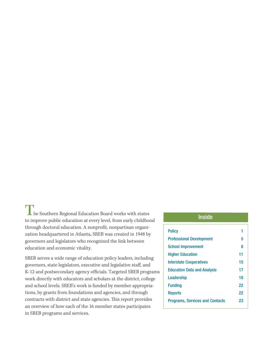$\blacksquare$  he Southern Regional Education Board works with states to improve public education at every level, from early childhood through doctoral education. A nonprofit, nonpartisan organization headquartered in Atlanta, SREB was created in 1948 by governors and legislators who recognized the link between education and economic vitality.

SREB serves a wide range of education policy leaders, including governors, state legislators, executive and legislative staff, and K-12 and postsecondary agency officials. Targeted SREB programs work directly with educators and scholars at the district, college and school levels. SREB's work is funded by member appropriations, by grants from foundations and agencies, and through contracts with district and state agencies. This report provides an overview of how each of the 16 member states participates in SREB programs and services.

# Inside

| <b>Policy</b>                          | 1  |
|----------------------------------------|----|
| <b>Professional Development</b>        | 5  |
| <b>School Improvement</b>              | 8  |
| <b>Higher Education</b>                | 11 |
| <b>Interstate Cooperatives</b>         | 15 |
| <b>Education Data and Analysis</b>     | 17 |
| Leadership                             | 18 |
| <b>Funding</b>                         | 22 |
| <b>Reports</b>                         | 22 |
| <b>Programs, Services and Contacts</b> | 23 |
|                                        |    |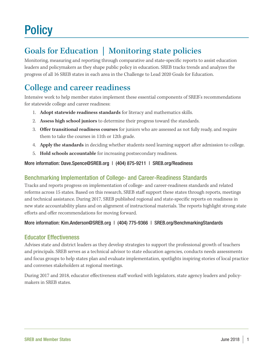# **Policy**

# Goals for Education | Monitoring state policies

Monitoring, measuring and reporting through comparative and state-specific reports to assist education leaders and policymakers as they shape public policy in education. SREB tracks trends and analyzes the progress of all 16 SREB states in each area in the Challenge to Lead 2020 Goals for Education.

# College and career readiness

Intensive work to help member states implement these essential components of SREB's recommendations for statewide college and career readiness:

- 1. **Adopt statewide readiness standards** for literacy and mathematics skills.
- 2. **Assess high school juniors** to determine their progress toward the standards.
- 3. **Offer transitional readiness courses** for juniors who are assessed as not fully ready, and require them to take the courses in 11th or 12th grade.
- 4. **Apply the standards** in deciding whether students need learning support after admission to college.
- 5. **Hold schools accountable** for increasing postsecondary readiness.

# More information: Dave.Spence@SREB.org | (404) 875-9211 | SREB.org/Readiness

# Benchmarking Implementation of College- and Career-Readiness Standards

Tracks and reports progress on implementation of college- and career-readiness standards and related reforms across 15 states. Based on this research, SREB staff support these states through reports, meetings and technical assistance. During 2017, SREB published regional and state-specific reports on readiness in new state accountability plans and on alignment of instructional materials. The reports highlight strong state efforts and offer recommendations for moving forward.

# More information: Kim.Anderson@SREB.org | (404) 775-9366 | SREB.org/BenchmarkingStandards

# Educator Effectiveness

Advises state and district leaders as they develop strategies to support the professional growth of teachers and principals. SREB serves as a technical advisor to state education agencies, conducts needs assessments and focus groups to help states plan and evaluate implementation, spotlights inspiring stories of local practice and convenes stakeholders at regional meetings.

During 2017 and 2018, educator effectiveness staff worked with legislators, state agency leaders and policymakers in SREB states.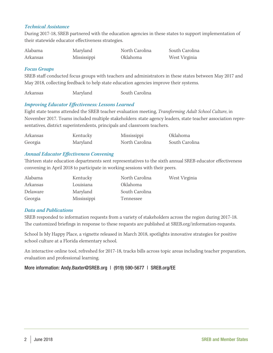# *Technical Assistance*

During 2017-18, SREB partnered with the education agencies in these states to support implementation of their statewide educator effectiveness strategies.

| Alabama  | Maryland    | North Carolina | South Carolina |
|----------|-------------|----------------|----------------|
| Arkansas | Mississippi | Oklahoma       | West Virginia  |

#### *Focus Groups*

SREB staff conducted focus groups with teachers and administrators in these states between May 2017 and May 2018, collecting feedback to help state education agencies improve their systems.

Arkansas Maryland South Carolina

# *Improving Educator Effectiveness: Lessons Learned*

Eight state teams attended the SREB teacher evaluation meeting, *Transforming Adult School Culture*, in November 2017. Teams included multiple stakeholders: state agency leaders, state teacher association representatives, district superintendents, principals and classroom teachers.

| Arkansas | Kentucky | Mississippi    | Oklahoma       |
|----------|----------|----------------|----------------|
| Georgia  | Maryland | North Carolina | South Carolina |

#### *Annual Educator Effectiveness Convening*

Thirteen state education departments sent representatives to the sixth annual SREB educator effectiveness convening in April 2018 to participate in working sessions with their peers.

| Alabama  | Kentucky    | North Carolina  | West Virginia |
|----------|-------------|-----------------|---------------|
| Arkansas | Louisiana   | <i>Oklahoma</i> |               |
| Delaware | Maryland    | South Carolina  |               |
| Georgia  | Mississippi | Tennessee       |               |

#### *Data and Publications*

SREB responded to information requests from a variety of stakeholders across the region during 2017-18. The customized briefings in response to these requests are published at SREB.org/information-requests.

School Is My Happy Place, a vignette released in March 2018, spotlights innovative strategies for positive school culture at a Florida elementary school.

An interactive online tool, refreshed for 2017-18, tracks bills across topic areas including teacher preparation, evaluation and professional learning.

More information: Andy.Baxter@SREB.org | (919) 590-5677 | SREB.org/EE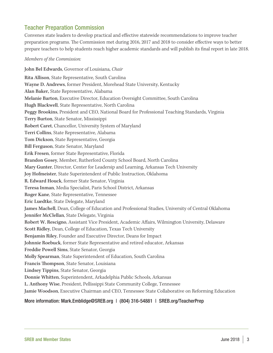# Teacher Preparation Commission

Convenes state leaders to develop practical and effective statewide recommendations to improve teacher preparation programs. The Commission met during 2016, 2017 and 2018 to consider effective ways to better prepare teachers to help students reach higher academic standards and will publish its final report in late 2018.

#### *Members of the Commission:*

John Bel Edwards, Governor of Louisiana, *Chair* Rita Allison, State Representative, South Carolina Wayne D. Andrews, former President, Morehead State University, Kentucky Alan Baker, State Representative, Alabama Melanie Barton, Executive Director, Education Oversight Committee, South Carolina Hugh Blackwell, State Representative, North Carolina Peggy Brookins, President and CEO, National Board for Professional Teaching Standards, Virginia Terry Burton, State Senator, Mississippi Robert Caret, Chancellor, University System of Maryland Terri Collins, State Representative, Alabama Tom Dickson, State Representative, Georgia Bill Ferguson, State Senator, Maryland Erik Fresen, former State Representative, Florida Brandon Gosey, Member, Rutherford County School Board, North Carolina Mary Gunter, Director, Center for Leadersip and Learning, Arkansas Tech University Joy Hofmeister, State Superintendent of Public Instruction, Oklahoma R. Edward Houck, former State Senator, Virginia Teresa Inman, Media Specialist, Paris School District, Arkansas Roger Kane, State Representative, Tennessee Eric Luedtke, State Delegate, Maryland James Machell, Dean, College of Education and Professional Studies, University of Central Oklahoma Jennifer McClellan, State Delegate, Virginia Robert W. Rescigno, Assistant Vice President, Academic Affairs, Wilmington University, Delaware Scott Ridley, Dean, College of Education, Texas Tech University Benjamin Riley, Founder and Executive Director, Deans for Impact Johnnie Roebuck, former State Representative and retired educator, Arkansas Freddie Powell Sims, State Senator, Georgia Molly Spearman, State Superintendent of Education, South Carolina Francis Thompson, State Senator, Louisiana Lindsey Tippins, State Senator, Georgia Donnie Whitten, Superintendent, Arkadelphia Public Schools, Arkansas L. Anthony Wise, President, Pellissippi State Community College, Tennessee Jamie Woodson, Executive Chairman and CEO, Tennessee State Collaborative on Reforming Education

# More information: Mark.Emblidge@SREB.org | (804) 316-54881 | SREB.org/TeacherPrep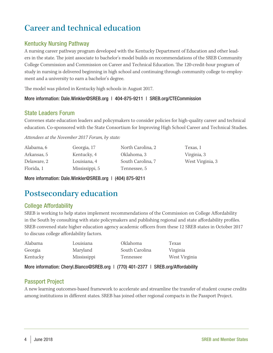# Career and technical education

# Kentucky Nursing Pathway

A nursing career pathway program developed with the Kentucky Department of Education and other leaders in the state. The joint associate to bachelor's model builds on recommendations of the SREB Community College Commission and Commission on Career and Technical Education. The 120-credit-hour program of study in nursing is delivered beginning in high school and continuing through community college to employment and a university to earn a bachelor's degree.

The model was piloted in Kentucky high schools in August 2017.

# More information: Dale.Winkler@SREB.org | 404-875-9211 | SREB.org/CTECommission

# State Leaders Forum

Convenes state education leaders and policymakers to consider policies for high-quality career and technical education. Co-sponsored with the State Consortium for Improving High School Career and Technical Studies.

*Attendees at the November 2017 Forum, by state:*

| Alabama, 6  | Georgia, 17    | North Carolina, 2 | Texas, 1         |
|-------------|----------------|-------------------|------------------|
| Arkansas, 5 | Kentucky, 4    | Oklahoma, 3       | Virginia, 3      |
| Delaware, 2 | Louisiana, 4   | South Carolina, 7 | West Virginia, 3 |
| Florida, 1  | Mississippi, 5 | Tennessee, 5      |                  |

More information: Dale.Winkler@SREB.org | (404) 875-9211

# Postsecondary education

# College Affordability

SREB is working to help states implement recommendations of the Commission on College Affordability in the South by consulting with state policymakers and publishing regional and state affordability profiles. SREB convened state higher education agency academic officers from these 12 SREB states in October 2017 to discuss college affordability factors.

| Alabama  | Louisiana   | Oklahoma       | Texas         |
|----------|-------------|----------------|---------------|
| Georgia  | Maryland    | South Carolina | Virginia      |
| Kentucky | Mississippi | Tennessee      | West Virginia |

More information: Cheryl.Blanco@SREB.org | (770) 401-2377 | SREB.org/Affordability

# Passport Project

A new learning outcomes-based framework to accelerate and streamline the transfer of student course credits among institutions in different states. SREB has joined other regional compacts in the Passport Project.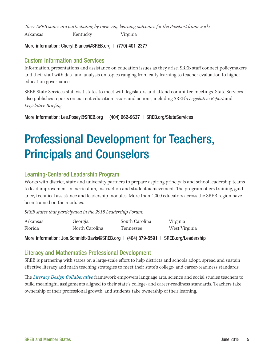*These SREB states are participating by reviewing learning outcomes for the Passport framework:*

Arkansas Kentucky Virginia

# More information: Cheryl.Blanco@SREB.org | (770) 401-2377

# Custom Information and Services

Information, presentations and assistance on education issues as they arise. SREB staff connect policymakers and their staff with data and analysis on topics ranging from early learning to teacher evaluation to higher education governance.

SREB State Services staff visit states to meet with legislators and attend committee meetings. State Services also publishes reports on current education issues and actions, including SREB's *Legislative Report* and *Legislative Briefing*.

More information: Lee.Posey@SREB.org | (404) 962-9637 | SREB.org/StateServices

# Professional Development for Teachers, Principals and Counselors

# Learning-Centered Leadership Program

Works with district, state and university partners to prepare aspiring principals and school leadership teams to lead improvement in curriculum, instruction and student achievement. The program offers training, guidance, technical assistance and leadership modules. More than 4,000 educators across the SREB region have been trained on the modules.

*SREB states that participated in the 2018 Leadership Forum:* 

| Arkansas | Georgia        | South Carolina | Virginia      |
|----------|----------------|----------------|---------------|
| Florida  | North Carolina | Tennessee      | West Virginia |

More information: Jon.Schmidt-Davis@SREB.org | (404) 879-5591 | SREB.org/Leadership

# Literacy and Mathematics Professional Development

SREB is partnering with states on a large-scale effort to help districts and schools adopt, spread and sustain effective literacy and math teaching strategies to meet their state's college- and career-readiness standards.

The *Literacy Design Collaborative* framework empowers language arts, science and social studies teachers to build meaningful assignments aligned to their state's college- and career-readiness standards. Teachers take ownership of their professional growth, and students take ownership of their learning.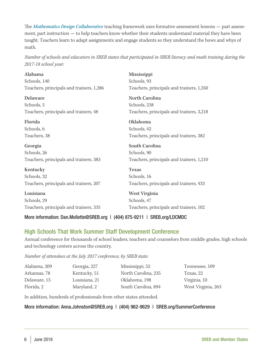The *Mathematics Design Collaborative* teaching framework uses formative assessment lessons — part assessment, part instruction — to help teachers know whether their students understand material they have been taught. Teachers learn to adapt assignments and engage students so they understand the hows and whys of math.

*Number of schools and educators in SREB states that participated in SREB literacy and math training during the 2017-18 school year:*

| Alabama                                  | Mississippi                              |
|------------------------------------------|------------------------------------------|
| Schools, 140                             | Schools, 93                              |
| Teachers, principals and trainers, 1,286 | Teachers, principals and trainers, 1,350 |
| Delaware                                 | North Carolina                           |
| Schools, 5                               | Schools, 238                             |
| Teachers, principals and trainers, 48    | Teachers, principals and trainers, 3,218 |
| Florida                                  | Oklahoma                                 |
| Schools, 6                               | Schools, 42                              |
| Teachers, 38                             | Teachers, principals and trainers, 382   |
|                                          |                                          |
| Georgia                                  | South Carolina                           |
| Schools, 26                              | Schools, 90                              |
| Teachers, principals and trainers, 383   | Teachers, principals and trainers, 1,210 |
| Kentucky                                 | <b>Texas</b>                             |
| Schools, 32                              | Schools, 16                              |
| Teachers, principals and trainers, 207   | Teachers, principals and trainers, 433   |
| Louisiana                                | West Virginia                            |
| Schools, 29                              | Schools, 47                              |

# More information: Dan.Mollette@SREB.org | (404) 875-9211 | SREB.org/LDCMDC

# High Schools That Work Summer Staff Development Conference

Annual conference for thousands of school leaders, teachers and counselors from middle grades, high schools and technology centers across the country.

*Number of attendees at the July 2017 conference, by SREB state:*

| Alabama, 209 | Georgia, 227  | Mississippi, 52     | Tennessee, 109     |
|--------------|---------------|---------------------|--------------------|
| Arkansas, 78 | Kentucky, 51  | North Carolina, 235 | Texas, 22          |
| Delaware, 13 | Louisiana, 21 | Oklahoma, 198       | Virginia, 10       |
| Florida, 2   | Maryland, 2   | South Carolina, 894 | West Virginia, 263 |
|              |               |                     |                    |

In addition, hundreds of professionals from other states attended.

# More information: Anna.Johnston@SREB.org | (404) 962-9629 | SREB.org/SummerConference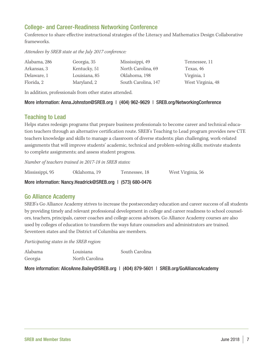# College- and Career-Readiness Networking Conference

Conference to share effective instructional strategies of the Literacy and Mathematics Design Collaborative frameworks.

*Attendees by SREB state at the July 2017 conference:*

| Alabama, 286 | Georgia, 35   | Mississippi, 49     | Tennessee, 11     |
|--------------|---------------|---------------------|-------------------|
| Arkansas, 3  | Kentucky, 51  | North Carolina, 69  | Texas, 46         |
| Delaware, 1  | Louisiana, 85 | Oklahoma, 198       | Virginia, 1       |
| Florida, 2   | Maryland, 2   | South Carolina, 147 | West Virginia, 48 |

In addition, professionals from other states attended.

# More information: Anna.Johnston@SREB.org | (404) 962-9629 | SREB.org/NetworkingConference

# Teaching to Lead

Helps states redesign programs that prepare business professionals to become career and technical education teachers through an alternative certification route. SREB's Teaching to Lead program provides new CTE teachers knowledge and skills to manage a classroom of diverse students; plan challenging, work-related assignments that will improve students' academic, technical and problem-solving skills; motivate students to complete assignments; and assess student progress.

*Number of teachers trained in 2017-18 in SREB states:* 

| Mississippi, 95 | Oklahoma, 19 | Tennessee, 18 | West Virginia, 56 |
|-----------------|--------------|---------------|-------------------|
|-----------------|--------------|---------------|-------------------|

More information: Nancy.Headrick@SREB.org | (573) 680-0476

# Go Alliance Academy

SREB's Go Alliance Academy strives to increase the postsecondary education and career success of all students by providing timely and relevant professional development in college and career readiness to school counselors, teachers, principals, career coaches and college access advisors. Go Alliance Academy courses are also used by colleges of education to transform the ways future counselors and administrators are trained. Seventeen states and the District of Columbia are members.

*Participating states in the SREB region:*

| Alabama | Louisiana      | South Carolina |
|---------|----------------|----------------|
| Georgia | North Carolina |                |

More information: AliceAnne.Bailey@SREB.org | (404) 879-5601 | SREB.org/GoAllianceAcademy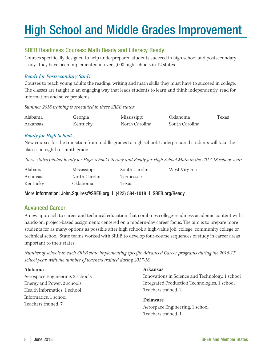# High School and Middle Grades Improvement

# SREB Readiness Courses: Math Ready and Literacy Ready

Courses specifically designed to help underprepared students succeed in high school and postsecondary study. They have been implemented in over 1,000 high schools in 12 states.

# *Ready for Postsecondary Study*

Courses to teach young adults the reading, writing and math skills they must have to succeed in college. The classes are taught in an engaging way that leads students to learn and think independently, read for information and solve problems.

*Summer 2018 training is scheduled in these SREB states:*

| Alabama  | Georgia  | Mississippi    | Oklahoma       | Texas |
|----------|----------|----------------|----------------|-------|
| Arkansas | Kentucky | North Carolina | South Carolina |       |

# *Ready for High School*

New courses for the transition from middle grades to high school. Underprepared students will take the classes in eighth or ninth grade.

*These states piloted Ready for High School Literacy and Ready for High School Math in the 2017-18 school year:*

| Alabama  | Mississippi    | South Carolina | West Virginia |
|----------|----------------|----------------|---------------|
| Arkansas | North Carolina | Tennessee      |               |
| Kentucky | Oklahoma       | Texas          |               |

More information: John.Squires@SREB.org | (423) 584-1018 | SREB.org/Ready

# Advanced Career

A new approach to career and technical education that combines college-readiness academic content with hands-on, project-based assignments centered on a modern-day career focus. The aim is to prepare more students for as many options as possible after high school: a high-value job, college, community college or technical school. State teams worked with SREB to develop four-course sequences of study in career areas important to their states.

*Number of schools in each SREB state implementing specific Advanced Career programs during the 2016-17 school year, with the number of teachers trained during 2017-18:*

# **Alabama**

Aerospace Engineering, 3 schools Energy and Power, 2 schools Health Informatics, 1 school Informatics, 1 school Teachers trained, 7

# **Arkansas**

Innovations in Science and Technology, 1 school Integrated Production Technologies, 1 school Teachers trained, 2

# **Delaware**

Aerospace Engineering, 1 school Teachers trained, 1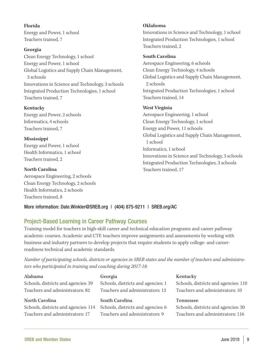**Florida** Energy and Power, 1 school Teachers trained, 7

#### **Georgia**

Clean Energy Technology, 1 school Energy and Power, 1 school Global Logistics and Supply Chain Management, 3 schools Innovations in Science and Technology, 3 schools Integrated Production Technologies, 1 school Teachers trained, 7

# **Kentucky**

Energy and Power, 2 schools Informatics, 4 schools Teachers trained, 7

#### **Mississippi**

Energy and Power, 1 school Health Informatics, 1 school Teachers trained, 2

#### **North Carolina**

Aerospace Engineering, 2 schools Clean Energy Technology, 2 schools Health Informatics, 2 schools Teachers trained, 8

# **Oklahoma**

Innovations in Science and Technology, 1 school Integrated Production Technologies, 1 school Teachers trained, 2

# **South Carolina**

Aerospace Engineering, 6 schools Clean Energy Technology, 4 schools Global Logistics and Supply Chain Management, 2 schools Integrated Production Technologies, 1 school Teachers trained, 14

# **West Virginia**

Aerospace Engineering, 1 school Clean Energy Technology, 1 school Energy and Power, 11 schools Global Logistics and Supply Chain Management, 1 school Informatics, 1 school Innovations in Science and Technology, 3 schools Integrated Production Technologies, 3 schools Teachers trained, 17

# More information: Dale.Winkler@SREB.org | (404) 875-9211 | SREB.org/AC

# Project-Based Learning in Career Pathway Courses

Training model for teachers in high-skill career and technical education programs and career pathway academic courses. Academic and CTE teachers improve assignments and assessments by working with business and industry partners to develop projects that require students to apply college- and careerreadiness technical and academic standards.

*Number of participating schools, districts or agencies in SREB states and the number of teachers and administrators who participated in training and coaching during 2017-18:*

| Alabama                                                                | Georgia                                                               | Kentucky                                                                |
|------------------------------------------------------------------------|-----------------------------------------------------------------------|-------------------------------------------------------------------------|
| Schools, districts and agencies: 39<br>Teachers and administrators: 82 | Schools, districts and agencies: 1<br>Teachers and administrators: 13 | Schools, districts and agencies: 110<br>Teachers and administrators: 10 |
|                                                                        |                                                                       |                                                                         |
| North Carolina                                                         | South Carolina                                                        | <b>Tennessee</b>                                                        |
| Schools, districts and agencies: 114                                   | Schools, districts and agencies: 6                                    | Schools, districts and agencies: 30                                     |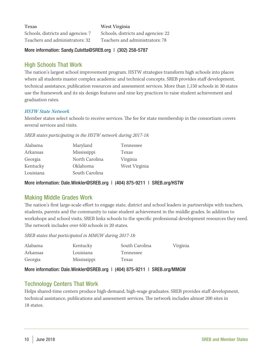| <b>Texas</b>                       | West Virginia                       |
|------------------------------------|-------------------------------------|
| Schools, districts and agencies: 7 | Schools, districts and agencies: 22 |
| Teachers and administrators: 32    | Teachers and administrators: 78     |

# More information: Sandy.Culotta@SREB.org | (302) 258-5787

# High Schools That Work

The nation's largest school improvement program. HSTW strategies transform high schools into places where all students master complex academic and technical concepts. SREB provides staff development, technical assistance, publication resources and assessment services. More than 1,150 schools in 30 states use the framework and its six design features and nine key practices to raise student achievement and graduation rates.

# *HSTW State Network*

Member states select schools to receive services. The fee for state membership in the consortium covers several services and visits.

*SREB states participating in the HSTW network during 2017-18:* 

| Alabama   | Maryland       | Tennessee     |
|-----------|----------------|---------------|
| Arkansas  | Mississippi    | Texas         |
| Georgia   | North Carolina | Virginia      |
| Kentucky  | Oklahoma       | West Virginia |
| Louisiana | South Carolina |               |

More information: Dale.Winkler@SREB.org | (404) 875-9211 | SREB.org/HSTW

# Making Middle Grades Work

The nation's first large-scale effort to engage state, district and school leaders in partnerships with teachers, students, parents and the community to raise student achievement in the middle grades. In addition to workshops and school visits, SREB links schools to the specific professional development resources they need. The network includes over 650 schools in 20 states.

*SREB states that participated in MMGW during 2017-18:*

| Alabama  | Kentucky    | South Carolina | Virginia |
|----------|-------------|----------------|----------|
| Arkansas | Louisiana   | Tennessee      |          |
| Georgia  | Mississippi | Texas          |          |

More information: Dale.Winkler@SREB.org | (404) 875-9211 | SREB.org/MMGW

# Technology Centers That Work

Helps shared-time centers produce high-demand, high-wage graduates. SREB provides staff development, technical assistance, publications and assessment services. The network includes almost 200 sites in 18 states.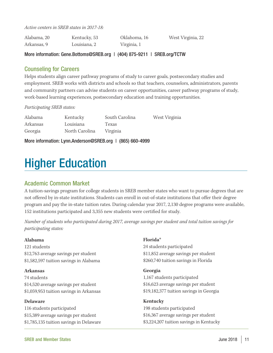*Active centers in SREB states in 2017-18:*

| Alabama, 20 | Kentucky, 53 | Oklahoma, 16 | West Virginia, 22 |
|-------------|--------------|--------------|-------------------|
| Arkansas, 9 | Louisiana, 2 | Virginia, 1  |                   |

More information: Gene.Bottoms@SREB.org | (404) 875-9211 | SREB.org/TCTW

# Counseling for Careers

Helps students align career pathway programs of study to career goals, postsecondary studies and employment. SREB works with districts and schools so that teachers, counselors, administrators, parents and community partners can advise students on career opportunities, career pathway programs of study, work-based learning experiences, postsecondary education and training opportunities.

*Participating SREB states:*

| Alabama  | Kentucky       | South Carolina | West Virginia |
|----------|----------------|----------------|---------------|
| Arkansas | Louisiana      | Texas          |               |
| Georgia  | North Carolina | Virginia       |               |

More information: Lynn.Anderson@SREB.org | (865) 660-4999

# Higher Education

# Academic Common Market

A tuition-savings program for college students in SREB member states who want to pursue degrees that are not offered by in-state institutions. Students can enroll in out-of-state institutions that offer their degree program and pay the in-state tuition rates. During calendar year 2017, 2,130 degree programs were available, 152 institutions participated and 3,355 new students were certified for study.

*Number of students who participated during 2017, average savings per student and total tuition savings for participating states:*

# **Alabama**

121 students \$12,763 average savings per student \$1,582,597 tuition savings in Alabama

# **Arkansas**

74 students \$14,520 average savings per student \$1,059,953 tuition savings in Arkansas

# **Delaware**

116 students participated \$15,389 average savings per student \$1,785,135 tuition savings in Delaware

# **Florida**\*

24 students participated \$11,852 average savings per student \$260,740 tuition savings in Florida

# **Georgia**

1,167 students participated \$16,623 average savings per student \$19,182,377 tuition savings in Georgia

**Kentucky** 198 students participated \$16,367 average savings per student \$3,224,207 tuition savings in Kentucky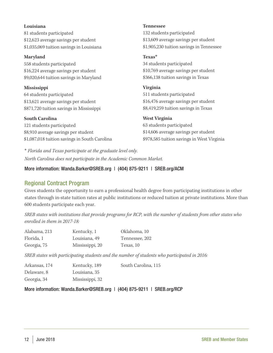#### **Louisiana**

81 students participated \$12,623 average savings per student \$1,035,069 tuition savings in Louisiana

#### **Maryland**

558 students participated \$16,224 average savings per student \$9,020,644 tuition savings in Maryland

# **Mississippi**

64 students participated \$13,621 average savings per student \$871,720 tuition savings in Mississippi

# **South Carolina**

121 students participated \$8,910 average savings per student \$1,087,018 tuition savings in South Carolina **Tennessee**

132 students participated \$13,609 average savings per student \$1,905,230 tuition savings in Tennessee

#### **Texas\***

34 students participated \$10,769 average savings per student \$366,138 tuition savings in Texas

# **Virginia** 511 students participated \$16,476 average savings per student

\$8,419,259 tuition savings in Texas

# **West Virginia**

63 students participated \$14,606 average savings per student \$978,585 tuition savings in West Virginia

\* *Florida and Texas participate at the graduate level only. North Carolina does not participate in the Academic Common Market.*

# More information: Wanda.Barker@SREB.org | (404) 875-9211 | SREB.org/ACM

# Regional Contract Program

Gives students the opportunity to earn a professional health degree from participating institutions in other states through in-state tuition rates at public institutions or reduced tuition at private institutions. More than 600 students participate each year.

*SREB states with institutions that provide programs for RCP, with the number of students from other states who enrolled in them in 2017-18:*

| Alabama, 213 | Kentucky, 1     | Oklahoma, 10   |
|--------------|-----------------|----------------|
| Florida, 1   | Louisiana, 49   | Tennessee, 202 |
| Georgia, 75  | Mississippi, 20 | Texas, 10      |

*SREB states with participating students and the number of students who participated in 2016:*

| Arkansas, 174 | Kentucky, 189   | South Carolina, 115 |
|---------------|-----------------|---------------------|
| Delaware, 8   | Louisiana, 35   |                     |
| Georgia, 34   | Mississippi, 32 |                     |

More information: Wanda.Barker@SREB.org | (404) 875-9211 | SREB.org/RCP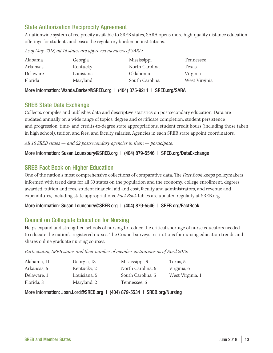# State Authorization Reciprocity Agreement

A nationwide system of reciprocity available to SREB states, SARA opens more high-quality distance education offerings for students and eases the regulatory burden on institutions.

*As of May 2018, all 16 states are approved members of SARA:* 

| Alabama  | Georgia   | Mississippi     | Tennessee     |
|----------|-----------|-----------------|---------------|
| Arkansas | Kentucky  | North Carolina  | Texas         |
| Delaware | Louisiana | <i>Oklahoma</i> | Virginia      |
| Florida  | Maryland  | South Carolina  | West Virginia |

More information: Wanda.Barker@SREB.org | (404) 875-9211 | SREB.org/SARA

# SREB State Data Exchange

Collects, compiles and publishes data and descriptive statistics on postsecondary education. Data are updated annually on a wide range of topics: degree and certificate completion, student persistence and progression, time- and credits-to-degree state appropriations, student credit hours (including those taken in high school), tuition and fees, and faculty salaries. Agencies in each SREB state appoint coordinators.

*All 16 SREB states — and 22 postsecondary agencies in them — participate.*

# More information: Susan.Lounsbury@SREB.org | (404) 879-5546 | SREB.org/DataExchange

# SREB Fact Book on Higher Education

One of the nation's most comprehensive collections of comparative data. The *Fact Book* keeps policymakers informed with trend data for all 50 states on the population and the economy, college enrollment, degrees awarded, tuition and fees, student financial aid and cost, faculty and administrators, and revenue and expenditures, including state appropriations. *Fact Book* tables are updated regularly at SREB.org.

# More information: Susan.Lounsbury@SREB.org | (404) 879-5546 | SREB.org/FactBook

# Council on Collegiate Education for Nursing

Helps expand and strengthen schools of nursing to reduce the critical shortage of nurse educators needed to educate the nation's registered nurses. The Council surveys institutions for nursing education trends and shares online graduate nursing courses.

*Participating SREB states and their number of member institutions as of April 2018:* 

| Alabama, 11 | Georgia, 13  | Mississippi, 9    | Texas, 5         |
|-------------|--------------|-------------------|------------------|
| Arkansas, 6 | Kentucky, 2  | North Carolina, 6 | Virginia, 6      |
| Delaware, 1 | Louisiana, 5 | South Carolina, 5 | West Virginia, 1 |
| Florida, 8  | Maryland, 2  | Tennessee, 6      |                  |

More information: Joan.Lord@SREB.org | (404) 879-5534 | SREB.org/Nursing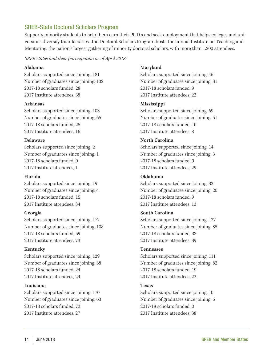# SREB-State Doctoral Scholars Program

Supports minority students to help them earn their Ph.D.s and seek employment that helps colleges and universities diversify their faculties. The Doctoral Scholars Program hosts the annual Institute on Teaching and Mentoring, the nation's largest gathering of minority doctoral scholars, with more than 1,200 attendees.

*SREB states and their participation as of April 2018:* 

#### **Alabama**

Scholars supported since joining, 181 Number of graduates since joining, 132 2017-18 scholars funded, 28 2017 Institute attendees, 38

# **Arkansas**

Scholars supported since joining, 103 Number of graduates since joining, 65 2017-18 scholars funded, 25 2017 Institute attendees, 16

# **Delaware**

Scholars supported since joining, 2 Number of graduates since joining, 1 2017-18 scholars funded, 0 2017 Institute attendees, 1

# **Florida**

Scholars supported since joining, 19 Number of graduates since joining, 4 2017-18 scholars funded, 15 2017 Institute attendees, 84

# **Georgia**

Scholars supported since joining, 177 Number of graduates since joining, 108 2017-18 scholars funded, 59 2017 Institute attendees, 73

# **Kentucky**

Scholars supported since joining, 129 Number of graduates since joining, 88 2017-18 scholars funded, 24 2017 Institute attendees, 24

# **Louisiana**

Scholars supported since joining, 170 Number of graduates since joining, 63 2017-18 scholars funded, 73 2017 Institute attendees, 27

# **Maryland**

Scholars supported since joining, 45 Number of graduates since joining, 31 2017-18 scholars funded, 9 2017 Institute attendees, 22

# **Mississippi**

Scholars supported since joining, 69 Number of graduates since joining, 51 2017-18 scholars funded, 10 2017 Institute attendees, 8

# **North Carolina**

Scholars supported since joining, 14 Number of graduates since joining, 3 2017-18 scholars funded, 9 2017 Institute attendees, 29

# **Oklahoma**

Scholars supported since joining, 32 Number of graduates since joining, 20 2017-18 scholars funded, 9 2017 Institute attendees, 13

# **South Carolina**

Scholars supported since joining, 127 Number of graduates since joining, 85 2017-18 scholars funded, 33 2017 Institute attendees, 39

# **Tennessee**

Scholars supported since joining, 111 Number of graduates since joining, 82 2017-18 scholars funded, 19 2017 Institute attendees, 22

# **Texas**

Scholars supported since joining, 10 Number of graduates since joining, 6 2017-18 scholars funded, 0 2017 Institute attendees, 38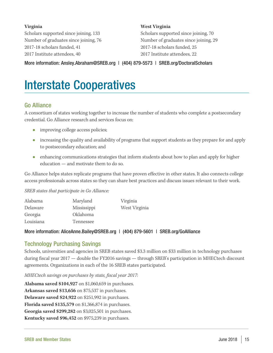# **Virginia**

Scholars supported since joining, 133 Number of graduates since joining, 76 2017-18 scholars funded, 41 2017 Institute attendees, 40

# **West Virginia**

Scholars supported since joining, 70 Number of graduates since joining, 29 2017-18 scholars funded, 25 2017 Institute attendees, 22

More information: Ansley.Abraham@SREB.org | (404) 879-5573 | SREB.org/DoctoralScholars

# Interstate Cooperatives

# Go Alliance

A consortium of states working together to increase the number of students who complete a postsecondary credential. Go Alliance research and services focus on:

- improving college access policies;
- increasing the quality and availability of programs that support students as they prepare for and apply to postsecondary education; and
- enhancing communications strategies that inform students about how to plan and apply for higher education — and motivate them to do so.

Go Alliance helps states replicate programs that have proven effective in other states. It also connects college access professionals across states so they can share best practices and discuss issues relevant to their work.

*SREB states that participate in Go Alliance:*

| Alabama   | Maryland        | Virginia      |
|-----------|-----------------|---------------|
| Delaware  | Mississippi     | West Virginia |
| Georgia   | <i>Oklahoma</i> |               |
| Louisiana | Tennessee       |               |
|           |                 |               |

# More information: AliceAnne.Bailey@SREB.org | (404) 879-5601 | SREB.org/GoAlliance

# Technology Purchasing Savings

Schools, universities and agencies in SREB states saved \$3.3 million on \$33 million in technology purchases during fiscal year 2017 — double the FY2016 savings — through SREB's participation in MHECtech discount agreements. Organizations in each of the 16 SREB states participated.

*MHECtech savings on purchases by state, fiscal year 2017:*

**Alabama saved \$104,927** on \$1,060,659 in purchases. **Arkansas saved \$13,656** on \$75,537 in purchases. **Delaware saved \$24,922** on \$251,992 in purchases. **Florida saved \$135,579** on \$1,366,874 in purchases. **Georgia saved \$299,282** on \$3,025,501 in purchases. **Kentucky saved \$96,452** on \$975,239 in purchases.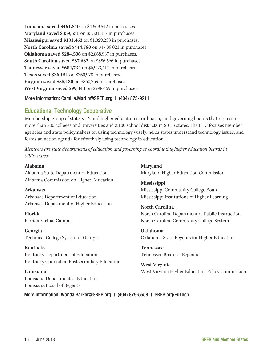**Louisiana saved \$461,840** on \$4,669,542 in purchases. **Maryland saved \$339,531** on \$3,301,817 in purchases. **Mississippi saved \$131,463** on \$1,329,238 in purchases. **North Carolina saved \$444,780** on \$4,439,021 in purchases. **Oklahoma saved \$284,506** on \$2,868,937 in purchases. **South Carolina saved \$87,682** on \$886,566 in purchases. **Tennessee saved \$684,734** on \$6,923,417 in purchases. **Texas saved \$36,151** on \$360,978 in purchases. **Virginia saved \$85,130** on \$860,759 in purchases. **West Virginia saved \$99,444** on \$998,469 in purchases.

# More information: Camille.Martin@SREB.org | (404) 875-9211

# Educational Technology Cooperative

Membership group of state K-12 and higher education coordinating and governing boards that represent more than 800 colleges and universities and 3,100 school districts in SREB states. The ETC focuses member agencies and state policymakers on using technology wisely, helps states understand technology issues, and forms an action agenda for effectively using technology in education.

*Members are state departments of education and governing or coordinating higher education boards in SREB states:*

**Alabama** Alabama State Department of Education Alabama Commission on Higher Education

#### **Arkansas**

Arkansas Department of Education Arkansas Department of Higher Education

**Florida** Florida Virtual Campus

**Georgia** Technical College System of Georgia

# **Kentucky**

Kentucky Department of Education Kentucky Council on Postsecondary Education

**Louisiana** Louisiana Department of Education Louisiana Board of Regents

**Maryland** Maryland Higher Education Commission

**Mississippi** Mississippi Community College Board Mississippi Institutions of Higher Learning

**North Carolina** North Carolina Department of Public Instruction North Carolina Community College System

**Oklahoma** Oklahoma State Regents for Higher Education

**Tennessee** Tennessee Board of Regents

**West Virginia** West Virginia Higher Education Policy Commission

More information: Wanda.Barker@SREB.org | (404) 879-5558 | SREB.org/EdTech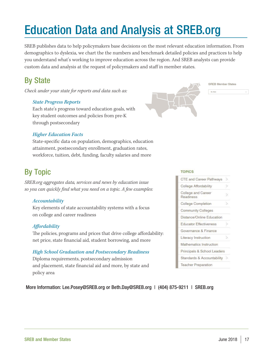# Education Data and Analysis at SREB.org

SREB publishes data to help policymakers base decisions on the most relevant education information. From demographics to dyslexia, we chart the the numbers and benchmark detailed policies and practices to help you understand what's working to improve education across the region. And SREB analysts can provide custom data and analysis at the request of policymakers and staff in member states.

# By State

*Check under your state for reports and data such as:*

# *State Progress Reports*

Each state's progress toward education goals, with key student outcomes and policies from pre-K through postsecondary



**SREB Member States** 

#### My State

# *Higher Education Facts*

State-specific data on population, demographics, education attainment, postsecondary enrollment, graduation rates, workforce, tuition, debt, funding, faculty salaries and more

# By Topic

*SREB.org aggregates data, services and news by education issue so you can quickly find what you need on a topic. A few examples:*

# *Accountability*

Key elements of state accountability systems with a focus on college and career readiness

# *Affordability*

The policies, programs and prices that drive college affordability: net price, state financial aid, student borrowing, and more

# *High School Graduation and Postsecondary Readiness*

Diploma requirements, postsecondary admission and placement, state financial aid and more, by state and policy area

#### **TOPICS**



More Information: Lee.Posey@SREB.org or Beth.Day@SREB.org | (404) 875-9211 | SREB.org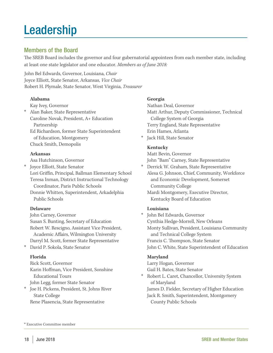# **Leadership**

# Members of the Board

The SREB Board includes the governor and four gubernatorial appointees from each member state, including at least one state legislator and one educator. *Members as of June 2018:*

John Bel Edwards, Governor, Louisiana, *Chair* Joyce Elliott, State Senator, Arkansas, *Vice Chair* Robert H. Plymale, State Senator, West Virginia, *Treasurer*

# **Alabama**

Kay Ivey, Governor

\* Alan Baker, State Representative Caroline Novak, President, A+ Education Partnership Ed Richardson, former State Superintendent of Education, Montgomery Chuck Smith, Demopolis

# **Arkansas**

Asa Hutchinson, Governor

- Joyce Elliott, State Senator Lori Griffin, Principal, Ballman Elementary School Teresa Inman, District Instructional Technology Coordinator, Paris Public Schools
	- Donnie Whitten, Superintendent, Arkadelphia Public Schools

# **Delaware**

John Carney, Governor Susan S. Bunting, Secretary of Education Robert W. Rescigno, Assistant Vice President, Academic Affairs, Wilmington University Darryl M. Scott, former State Representative

\* David P. Sokola, State Senator

# **Florida**

Rick Scott, Governor Karin Hoffman, Vice President, Sonshine Educational Tours John Legg, former State Senator \* Joe H. Pickens, President, St. Johns River

 State College Rene Plasencia, State Representative

# **Georgia**

Nathan Deal, Governor Matt Arthur, Deputy Commissioner, Technical College System of Georgia Terry England, State Representative Erin Hames, Atlanta

Jack Hill, State Senator

# **Kentucky**

Matt Bevin, Governor John "Bam" Carney, State Representative

\* Derrick W. Graham, State Representative Alesa G. Johnson, Chief, Community, Workforce and Economic Development, Somerset Community College

Mardi Montgomery, Executive Director, Kentucky Board of Education

# **Louisiana**

John Bel Edwards, Governor Cynthia Hedge-Morrell, New Orleans Monty Sullivan, President, Louisiana Community and Technical College System Francis C. Thompson, State Senator John C. White, State Superintendent of Education

# **Maryland**

Larry Hogan, Governor Gail H. Bates, State Senator

- \* Robert L. Caret, Chancellor, University System of Maryland James D. Fielder, Secretary of Higher Education
	- Jack R. Smith, Superintendent, Montgomery County Public Schools

\* Executive Committee member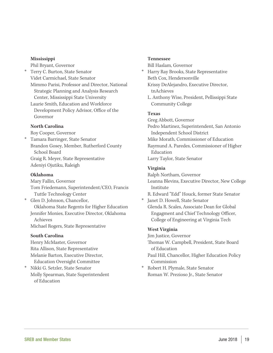#### **Mississippi**

Phil Bryant, Governor

\* Terry C. Burton, State Senator Videt Carmichael, State Senator Mimmo Parisi, Professor and Director, National Strategic Planning and Analysis Research Center, Mississippi State University

Laurie Smith, Education and Workforce Development Policy Advisor, Office of the Governor

# **North Carolina**

Roy Cooper, Governor

\* Tamara Barringer, State Senator Brandon Gosey, Member, Rutherford County School Board Graig R. Meyer, State Representative Adeniyi Ojutiku, Raleigh

# **Oklahoma**

Mary Fallin, Governor Tom Friedemann, Superintendent/CEO, Francis Tuttle Technology Center

\* Glen D. Johnson, Chancellor,

 Oklahoma State Regents for Higher Education Jennifer Monies, Executive Director, Oklahoma Achieves

Michael Rogers, State Representative

# **South Carolina**

Henry McMaster, Governor Rita Allison, State Representative Melanie Barton, Executive Director, Education Oversight Committee

\* Nikki G. Setzler, State Senator Molly Spearman, State Superintendent of Education

#### **Tennessee**

Bill Haslam, Governor

- \* Harry Ray Brooks, State Representative Beth Cox, Hendersonville Krissy DeAlejandro, Executive Director, tnAchieves
	- L. Anthony Wise, President, Pellissippi State Community College

# **Texas**

Greg Abbott, Governor Pedro Martinez, Superintendent, San Antonio Independent School District Mike Morath, Commissioner of Education Raymund A. Paredes, Commissioner of Higher Education Larry Taylor, State Senator

# **Virginia**

Ralph Northam, Governor

Leanna Blevins, Executive Director, New College Institute

R. Edward "Edd" Houck, former State Senator

\* Janet D. Howell, State Senator

Glenda R. Scales, Associate Dean for Global Engagment and Chief Technology Officer, College of Engineering at Virginia Tech

# **West Virginia**

Jim Justice, Governor

Thomas W. Campbell, President, State Board of Education

Paul Hill, Chancellor, Higher Education Policy Commission

\* Robert H. Plymale, State Senator Roman W. Prezioso Jr., State Senator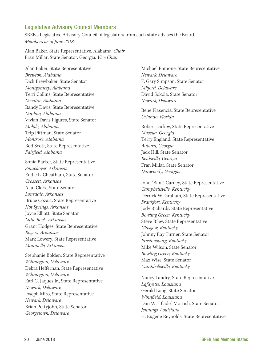# Legislative Advisory Council Members

SREB's Legislative Advisory Council of legislators from each state advises the Board. *Members as of June 2018:*

Alan Baker, State Representative, Alabama, *Chair* Fran Millar, State Senator, Georgia, *Vice Chair*

Alan Baker, State Representative *Brewton, Alabama* Dick Brewbaker, State Senator *Montgomery, Alabama* Terri Collins, State Representative *Decatur, Alabama* Randy Davis, State Representative *Daphne, Alabama* Vivian Davis Figures, State Senator *Mobile, Alabama* Trip Pittman, State Senator *Montrose, Alabama* Rod Scott, State Representative *Fairfield, Alabama*

Sonia Barker, State Representative *Smackover*, *Arkansas* Eddie L. Cheatham, State Senator *Crossett, Arkansas* Alan Clark, State Senator *Lonsdale, Arkansas* Bruce Cozart, State Representative *Hot Springs, Arkansas* Joyce Elliott, State Senator *Little Rock, Arkansas* Grant Hodges, State Representative *Rogers, Arkansas* Mark Lowery, State Representative *Maumelle, Arkansas*

Stephanie Bolden, State Representative *Wilmington, Delaware* Debra Heffernan, State Representative *Wilmington, Delaware* Earl G. Jaques Jr., State Representative *Newark, Delaware* Joseph Miro, State Representative *Newark, Delaware* Brian Pettyjohn, State Senator *Georgetown, Delaware*

Michael Ramone, State Representative *Newark, Delaware* F. Gary Simpson, State Senator *Milford, Delaware* David Sokola, State Senator *Newark, Delaware*

Rene Plasencia, State Representative *Orlando, Florida*

Robert Dickey, State Representative *Musella, Georgia* Terry England, State Representative *Auburn, Georgia* Jack Hill, State Senator *Reidsville, Georgia* Fran Millar, State Senator *Dunwoody, Georgia*

John "Bam" Carney, State Representative *Campbellsville, Kentucky* Derrick W. Graham, State Representative *Frankfort, Kentucky* Jody Richards, State Representative *Bowling Green, Kentucky* Steve Riley, State Representative *Glasgow, Kentucky* Johnny Ray Turner, State Senator *Prestonsburg, Kentucky* Mike Wilson, State Senator *Bowling Green, Kentucky* Max Wise, State Senator *Campbellsville, Kentucky*

Nancy Landry, State Representative *Lafayette, Louisiana*  Gerald Long, State Senator *Winnfield, Louisiana* Dan W. "Blade" Morrish, State Senator *Jennings, Louisiana* H. Eugene Reynolds, State Representative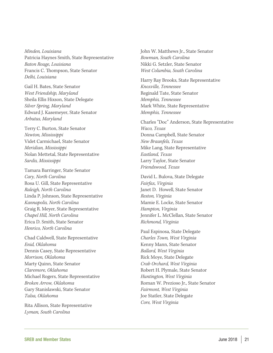*Minden, Louisiana* Patricia Haynes Smith, State Representative *Baton Rouge, Louisiana* Francis C. Thompson, State Senator *Delhi, Louisiana*

Gail H. Bates, State Senator *West Friendship, Maryland* Sheila Ellis Hixson, State Delegate *Silver Spring, Maryland* Edward J. Kasemeyer, State Senator *Arbutus, Maryland*

Terry C. Burton, State Senator *Newton, Mississippi* Videt Carmichael, State Senator *Meridian, Mississippi* Nolan Mettetal, State Representative *Sardis, Mississippi*

Tamara Barringer, State Senator *Cary, North Carolina* Rosa U. Gill, State Representative *Raleigh, North Carolina* Linda P. Johnson, State Representative *Kannapolis, North Carolina* Graig R. Meyer, State Representative *Chapel Hill, North Carolina* Erica D. Smith, State Senator *Henrico, North Carolina*

Chad Caldwell, State Representative *Enid, Oklahoma* Dennis Casey, State Representative *Morrison, Oklahoma* Marty Quinn, State Senator *Claremore, Oklahoma* Michael Rogers, State Representative *Broken Arrow, Oklahoma* Gary Stanislawski, State Senator *Tulsa, Oklahoma*

Rita Allison, State Representative *Lyman, South Carolina* 

John W. Matthews Jr., State Senator *Bowman, South Carolina* Nikki G. Setzler, State Senator *West Columbia, South Carolina*

Harry Ray Brooks, State Representative *Knoxville, Tennessee* Reginald Tate, State Senator *Memphis, Tennessee* Mark White, State Representative *Memphis, Tennessee*

Charles "Doc" Anderson, State Representative *Waco, Texas* Donna Campbell, State Senator *New Braunfels, Texas* Mike Lang, State Representative *Eastland, Texas* Larry Taylor, State Senator *Friendswood, Texas*

David L. Bulova, State Delegate *Fairfax, Virginia* Janet D. Howell, State Senator *Reston, Virginia* Mamie E. Locke, State Senator *Hampton, Virginia* Jennifer L. McClellan, State Senator *Richmond, Virginia* 

Paul Espinosa, State Delegate *Charles Town, West Virginia* Kenny Mann, State Senator *Ballard, West Virginia* Rick Moye, State Delegate *Crab Orchard, West Virginia*  Robert H. Plymale, State Senator *Huntington, West Virginia* Roman W. Prezioso Jr., State Senator *Fairmont, West Virginia* Joe Statler, State Delegate *Core, West Virginia*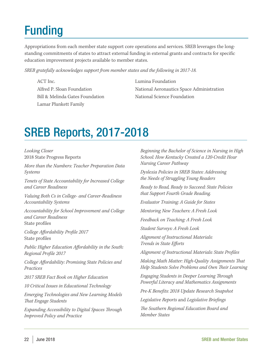# Funding

Appropriations from each member state support core operations and services. SREB leverages the longstanding commitments of states to attract external funding in external grants and contracts for specific education improvement projects available to member states.

*SREB gratefully acknowledges support from member states and the following in 2017-18.*

ACT Inc. Alfred P. Sloan Foundation Bill & Melinda Gates Foundation Lamar Plunkett Family

Lumina Foundation National Aeronautics Space Administration National Science Foundation

# SREB Reports, 2017-2018

*Looking Closer*  2018 State Progress Reports

*More than the Numbers: Teacher Preparation Data Systems* 

*Tenets of State Accountability for Increased College and Career Readiness*

*Valuing Both Cs in College- and Career-Readiness Accountability Systems*

*Accountability for School Improvement and College and Career Readiness* State profiles

*College Affordability Profile 2017* State profiles

*Public Higher Education Affordability in the South: Regional Profile 2017*

*College Affordability: Promising State Policies and Practices*

*2017 SREB Fact Book on Higher Education*

*10 Critical Issues in Educational Technology*

*Emerging Technologies and New Learning Models That Engage Students*

*Expanding Accessibility to Digital Spaces Through Improved Policy and Practice*

*Beginning the Bachelor of Science in Nursing in High School: How Kentucky Created a 120-Credit Hour Nursing Career Pathway*

*Dyslexia Policies in SREB States: Addressing the Needs of Struggling Young Readers*

*Ready to Read, Ready to Succeed: State Policies that Support Fourth Grade Reading.*

*Evaluator Training: A Guide for States*

*Mentoring New Teachers: A Fresh Look*

*Feedback on Teaching: A Fresh Look*

*Student Surveys: A Fresh Look*

*Alignment of Instructional Materials: Trends in State Efforts* 

*Alignment of Instructional Materials: State Profiles*

*Making Math Matter: High-Quality Assignments That Help Students Solve Problems and Own Their Learning*

*Engaging Students in Deeper Learning Through Powerful Literacy and Mathematics Assignments*

*Pre-K Benefits: 2018 Update Research Snapshot*

*Legislative Reports* and *Legislative Briefings* 

*The Southern Regional Education Board and Member States*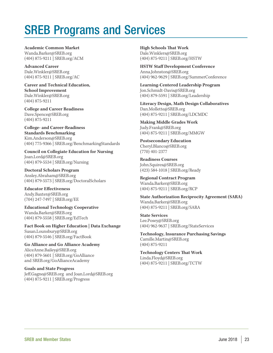# SREB Programs and Services

**Academic Common Market** Wanda.Barker@SREB.org (404) 875-9211 | SREB.org/ACM

**Advanced Career** Dale.Winkler@SREB.org (404) 875-9211 | SREB.org/AC

**Career and Technical Education, School Improvement** Dale.Winkler@SREB.org (404) 875-9211

**College and Career Readiness** Dave.Spence@SREB.org (404) 875-9211

**College- and Career-Readiness Standards Benchmarking**  Kim.Anderson@SREB.org (404) 775-9366 | SREB.org/BenchmarkingStandards

**Council on Collegiate Education for Nursing** Joan.Lord@SREB.org (404) 879-5534 | SREB.org/Nursing

**Doctoral Scholars Program** Ansley.Abraham@SREB.org (404) 879-5573 | SREB.org/DoctoralScholars

**Educator Effectiveness** Andy.Baxter@SREB.org (704) 247-7497 | SREB.org/EE

**Educational Technology Cooperative** Wanda.Barker@SREB.org (404) 879-5558 | SREB.org/EdTech

**Fact Book on Higher Education | Data Exchange** Susan.Lounsbury@SREB.org (404) 879-5546 | SREB.org/FactBook

**Go Alliance and Go Alliance Academy** AliceAnne.Bailey@SREB.org (404) 879-5601 | SREB.org/GoAlliance and SREB.org/GoAllianceAcademy

**Goals and State Progress** Jeff.Gagne@SREB.org and Joan.Lord@SREB.org (404) 875-9211 | SREB.org/Progress

**High Schools That Work** Dale.Winklers@SREB.org (404) 875-9211 | SREB.org/HSTW

**HSTW Staff Development Conference**  Anna.Johnston@SREB.org (404) 962-9629 | SREB.org/SummerConference

**Learning-Centered Leadership Program** Jon.Schmidt-Davis@SREB.org (404) 879-5591 | SREB.org/Leadership

**Literacy Design, Math Design Collaboratives** Dan.Mollette@SREB.org (404) 875-9211 | SREB.org/LDCMDC

**Making Middle Grades Work** Judy.Frank@SREB.org (404) 875-9211 | SREB.org/MMGW

**Postsecondary Education** Cheryl.Blanco@SREB.org (770) 401-2377

**Readiness Courses** John.Squires@SREB.org (423) 584-1018 | SREB.org/Ready

**Regional Contract Program** Wanda.Barker@SREB.org (404) 875-9211 | SREB.org/RCP

**State Authorization Reciprocity Agreement (SARA)** Wanda.Barker@SREB.org (404) 875-9211 | SREB.org/SARA

**State Services**  Lee.Posey@SREB.org (404) 962-9637 | SREB.org/StateServices

**Technology, Insurance Purchasing Savings** Camille.Martin@SREB.org (404) 875-9211

**Technology Centers That Work** Linda.Floyd@SREB.org (404) 875-9211 | SREB.org/TCTW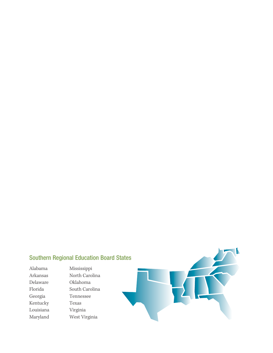# Southern Regional Education Board States

Delaware Oklahoma Kentucky Texas Louisiana Virginia Maryland West Virginia

Alabama Mississippi North Carolina Florida South Carolina Georgia Tennessee